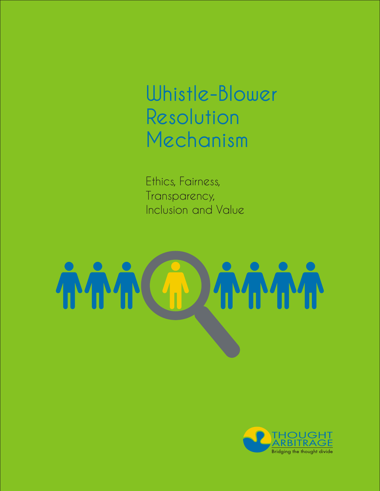Whistle-Blower Resolution Mechanism

Ethics, Fairness, Transparency, Inclusion and Value

# **AMM AAAC**

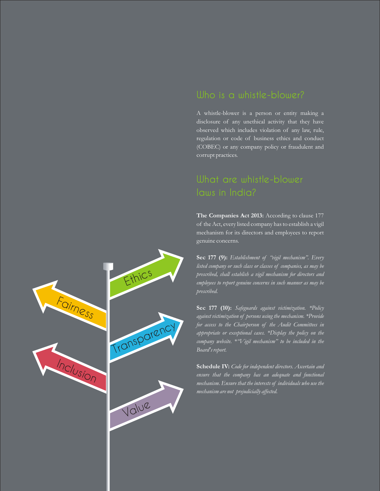#### Who is a whistle-blower?

A whistle-blower is a person or entity making a disclosure of any unethical activity that they have observed which includes violation of any law, rule, regulation or code of business ethics and conduct (COBEC) or any company policy or fraudulent and corrupt practices.

### laws in India?

The Companies Act 2013: According to clause 177 of the Act, every listed company has to establish a vigil mechanism for its directors and employees to report genuine concerns.

**Sec 177 (9):** *Establishment of "vigil mechanism". Every listed company or such class or classes of companies, as may be prescribed, shall establish a vigil mechanism for directors and employees to report genuine concerns in such manner as may be prescribed.* 

**Sec 177 (10):** *Safeguards against victimization. \*Policy against victimization of persons using the mechanism. \*Provide for access to the Chairperson of the Audit Committees in appropriate or exceptional cases. \*Display the policy on the company website. \*"Vigil mechanism" to be included in the Board's report.*

**Schedule IV:** *Code for independent directors. Ascertain and ensure that the company has an adequate and functional mechanism. Ensure that the interests of individuals who use the mechanism are not prejudicially affected.* 

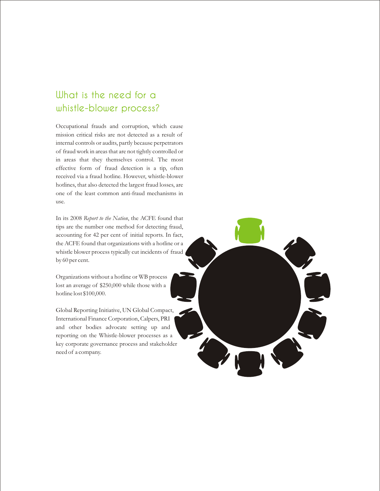### What is the need for a whistle-blower process?

Occupational frauds and corruption, which cause mission critical risks are not detected as a result of internal controls or audits, partly because perpetrators of fraud work in areas that are not tightly controlled or in areas that they themselves control. The most effective form of fraud detection is a tip, often received via a fraud hotline. However, whistle-blower hotlines, that also detected the largest fraud losses, are one of the least common anti-fraud mechanisms in use.

In its 2008 *Report to the Nation*, the ACFE found that tips are the number one method for detecting fraud, accounting for 42 per cent of initial reports. In fact, the ACFE found that organizations with a hotline or a whistle blower process typically cut incidents of fraud by 60 per cent.

Organizations without a hotline or WB process lost an average of \$250,000 while those with a hotline lost \$100,000.

Global Reporting Initiative, UN Global Compact, International Finance Corporation, Calpers, PRI and other bodies advocate setting up and reporting on the Whistle-blower processes as a key corporate governance process and stakeholder need of a company.

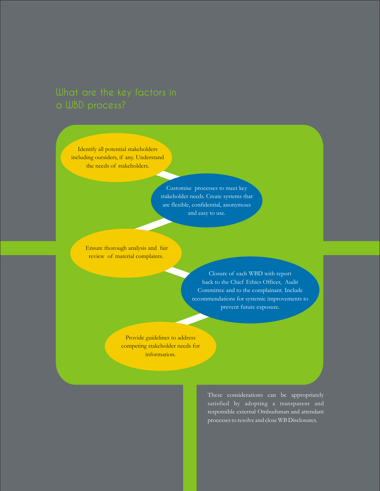## a WBD process?

Identify all potential stakeholders including outsiders, if any. Understand the needs of stakeholders.

> Customise processes to meet key stakeholder needs. Create systems that are flexible, confidential, anonymous and easy to use.

 Ensure thorough analysis and fair review of material complaints.

> Closure of each WBD with report back to the Chief Ethics Officer, Audit Committee and to the complainant. Include recommendations for systemic improvements to prevent future exposure.

Provide guidelines to address competing stakeholder needs for information.

> These considerations can be appropriately satisfied by adopting a transparent and responsible external Ombudsman and attendant processes to resolve and close WB Disclosures.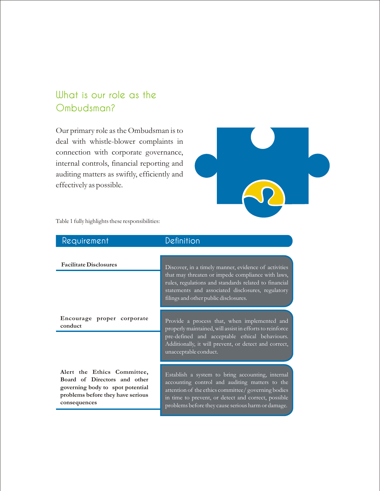### What is our role as the Ombudsman?

Our primary role as the Ombudsman is to deal with whistle-blower complaints in connection with corporate governance, internal controls, financial reporting and auditing matters as swiftly, efficiently and effectively as possible.



Table 1 fully highlights these responsibilities:

| Requirement                                                                                                                                          | Definition                                                                                                                                                                                                                                                             |
|------------------------------------------------------------------------------------------------------------------------------------------------------|------------------------------------------------------------------------------------------------------------------------------------------------------------------------------------------------------------------------------------------------------------------------|
| <b>Facilitate Disclosures</b>                                                                                                                        | Discover, in a timely manner, evidence of activities<br>that may threaten or impede compliance with laws,                                                                                                                                                              |
|                                                                                                                                                      | rules, regulations and standards related to financial<br>statements and associated disclosures, regulatory<br>filings and other public disclosures.                                                                                                                    |
| Encourage proper corporate<br>conduct                                                                                                                | Provide a process that, when implemented and<br>properly maintained, will assist in efforts to reinforce<br>pre-defined and acceptable ethical behaviours.<br>Additionally, it will prevent, or detect and correct,<br>unacceptable conduct.                           |
| Alert the Ethics Committee,<br>Board of Directors and other<br>governing body to spot potential<br>problems before they have serious<br>consequences | Establish a system to bring accounting, internal<br>accounting control and auditing matters to the<br>attention of the ethics committee/ governing bodies<br>in time to prevent, or detect and correct, possible<br>problems before they cause serious harm or damage. |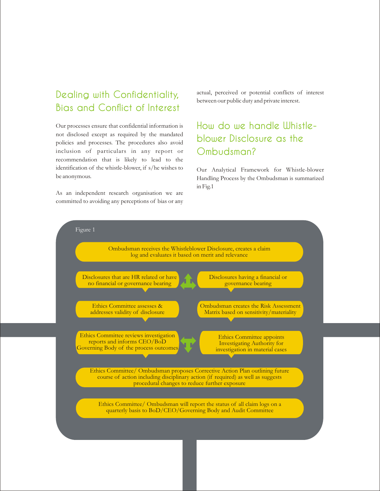### Dealing with Confidentiality, Bias and Conflict of Interest

Our processes ensure that confidential information is not disclosed except as required by the mandated policies and processes. The procedures also avoid inclusion of particulars in any report or recommendation that is likely to lead to the identification of the whistle-blower, if s/he wishes to be anonymous.

As an independent research organisation we are committed to avoiding any perceptions of bias or any actual, perceived or potential conflicts of interest between our public duty and private interest.

### How do we handle Whistleblower Disclosure as the Ombudsman?

Our Analytical Framework for Whistle-blower Handling Process by the Ombudsman is summarized in Fig.1

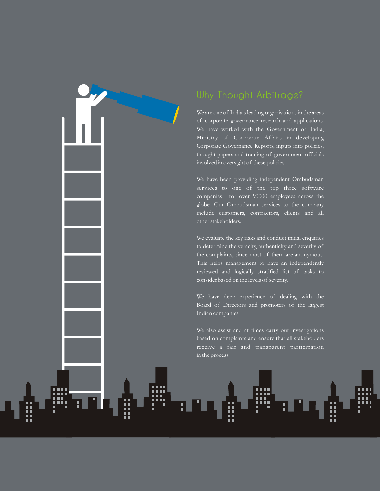

### Why Thought Arbitrage?

We are one of India's leading organisations in the areas of corporate governance research and applications. We have worked with the Government of India, Ministry of Corporate Affairs in developing Corporate Governance Reports, inputs into policies, thought papers and training of government officials involved in oversight of these policies.

We have been providing independent Ombudsman services to one of the top three software companies for over 90000 employees across the globe. Our Ombudsman services to the company include customers, contractors, clients and all other stakeholders.

We evaluate the key risks and conduct initial enquiries to determine the veracity, authenticity and severity of the complaints, since most of them are anonymous. This helps management to have an independently reviewed and logically stratified list of tasks to consider based on the levels of severity.

We have deep experience of dealing with the Board of Directors and promoters of the largest Indian companies.

We also assist and at times carry out investigations based on complaints and ensure that all stakeholders receive a fair and transparent participation in the process.